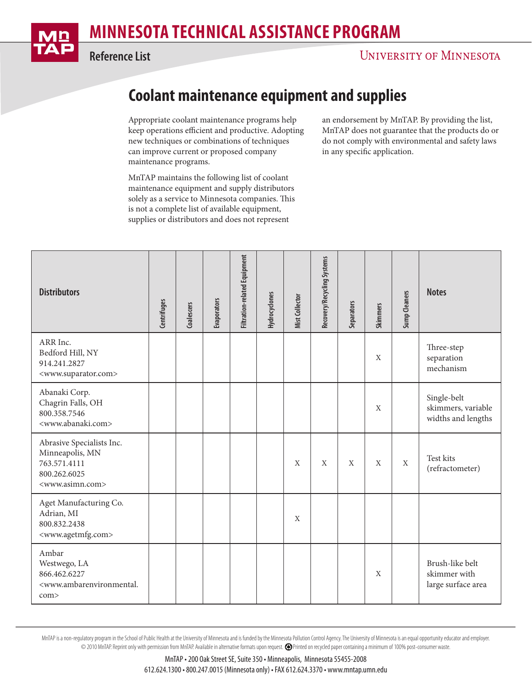

## **MINNESOTA TECHNICAL ASSISTANCE PROGRAM**

**Reference List**

## **UNIVERSITY OF MINNESOTA**

## **Coolant maintenance equipment and supplies**

Appropriate coolant maintenance programs help keep operations efficient and productive. Adopting new techniques or combinations of techniques can improve current or proposed company maintenance programs.

MnTAP maintains the following list of coolant maintenance equipment and supply distributors solely as a service to Minnesota companies. This is not a complete list of available equipment, supplies or distributors and does not represent

an endorsement by MnTAP. By providing the list, MnTAP does not guarantee that the products do or do not comply with environmental and safety laws in any specific application.

| <b>Distributors</b>                                                                                             | Centrifuges | Coalescers | <b>Evaporators</b> | <b>Filtration-related Equipment</b> | <b>Hydrocyclones</b> | <b>Mist Collector</b> | Recovery/Recycling Systems | Separators   | <b>Skimmers</b> | Sump Cleaners | <b>Notes</b>                                            |
|-----------------------------------------------------------------------------------------------------------------|-------------|------------|--------------------|-------------------------------------|----------------------|-----------------------|----------------------------|--------------|-----------------|---------------|---------------------------------------------------------|
| ARR Inc.<br>Bedford Hill, NY<br>914.241.2827<br><www.suparator.com></www.suparator.com>                         |             |            |                    |                                     |                      |                       |                            |              | $\mathbf{X}$    |               | Three-step<br>separation<br>mechanism                   |
| Abanaki Corp.<br>Chagrin Falls, OH<br>800.358.7546<br><www.abanaki.com></www.abanaki.com>                       |             |            |                    |                                     |                      |                       |                            |              | $\mathbf{X}$    |               | Single-belt<br>skimmers, variable<br>widths and lengths |
| Abrasive Specialists Inc.<br>Minneapolis, MN<br>763.571.4111<br>800.262.6025<br><www.asimn.com></www.asimn.com> |             |            |                    |                                     |                      | X                     | $\mathbf{X}$               | $\mathbf{X}$ | X               | $\mathbf X$   | Test kits<br>(refractometer)                            |
| Aget Manufacturing Co.<br>Adrian, MI<br>800.832.2438<br><www.agetmfg.com></www.agetmfg.com>                     |             |            |                    |                                     |                      | X                     |                            |              |                 |               |                                                         |
| Ambar<br>Westwego, LA<br>866.462.6227<br><www.ambarenvironmental.<br>com</www.ambarenvironmental.<br>           |             |            |                    |                                     |                      |                       |                            |              | X               |               | Brush-like belt<br>skimmer with<br>large surface area   |

MnTAP is a non-requlatory program in the School of Public Health at the University of Minnesota and is funded by the Minnesota Pollution Control Agency. The University of Minnesota is an equal opportunity educator and empl © 2010 MnTAP. Reprint only with permission from MnTAP. Available in alternative formats upon request. Printed on recycled paper containing a minimum of 100% post-consumer waste.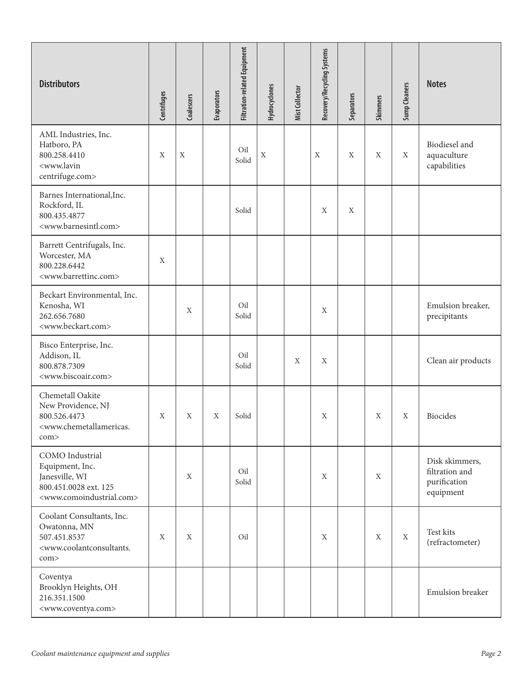| <b>Distributors</b>                                                                                                                | Centrifuges | Coalescers  | Evaporators | <b>Filtration-related Equipment</b> | Hydrocyclones | Mist Collector | Recovery/Recycling Systems | Separators | <b>Skimmers</b> | <b>Sump Cleaners</b> | <b>Notes</b>                                                  |
|------------------------------------------------------------------------------------------------------------------------------------|-------------|-------------|-------------|-------------------------------------|---------------|----------------|----------------------------|------------|-----------------|----------------------|---------------------------------------------------------------|
| AML Industries, Inc.<br>Hatboro, PA<br>800.258.4410<br><www.lavin<br>centrifuge.com&gt;</www.lavin<br>                             | X           | $\mathbf X$ |             | Oil<br>Solid                        | $\mathbf X$   |                | X                          | X          | X               | X                    | Biodiesel and<br>aquaculture<br>capabilities                  |
| Barnes International, Inc.<br>Rockford, IL<br>800.435.4877<br><www.barnesintl.com></www.barnesintl.com>                            |             |             |             | Solid                               |               |                | X                          | X          |                 |                      |                                                               |
| Barrett Centrifugals, Inc.<br>Worcester, MA<br>800.228.6442<br><www.barrettinc.com></www.barrettinc.com>                           | X           |             |             |                                     |               |                |                            |            |                 |                      |                                                               |
| Beckart Environmental, Inc.<br>Kenosha, WI<br>262.656.7680<br><www.beckart.com></www.beckart.com>                                  |             | X           |             | Oil<br>Solid                        |               |                | X                          |            |                 |                      | Emulsion breaker,<br>precipitants                             |
| Bisco Enterprise, Inc.<br>Addison, IL<br>800.878.7309<br><www.biscoair.com></www.biscoair.com>                                     |             |             |             | Oil<br>Solid                        |               | X              | X                          |            |                 |                      | Clean air products                                            |
| Chemetall Oakite<br>New Providence, NJ<br>800.526.4473<br><www.chemetallamericas.<br>com&gt;</www.chemetallamericas.<br>           | X           | X           | X           | Solid                               |               |                | X                          |            | X               | $\mathbf X$          | Biocides                                                      |
| COMO Industrial<br>Equipment, Inc.<br>Janesville, WI<br>800.451.0028 ext. 125<br><www.comoindustrial.com></www.comoindustrial.com> |             | X           |             | Oil<br>Solid                        |               |                | X                          |            | X               |                      | Disk skimmers,<br>filtration and<br>purification<br>equipment |
| Coolant Consultants, Inc.<br>Owatonna, MN<br>507.451.8537<br><www.coolantconsultants.<br>com&gt;</www.coolantconsultants.<br>      | $\mathbf X$ | X           |             | Oil                                 |               |                | X                          |            | X               | $\mathbf X$          | Test kits<br>(refractometer)                                  |
| Coventya<br>Brooklyn Heights, OH<br>216.351.1500<br><www.coventya.com></www.coventya.com>                                          |             |             |             |                                     |               |                |                            |            |                 |                      | Emulsion breaker                                              |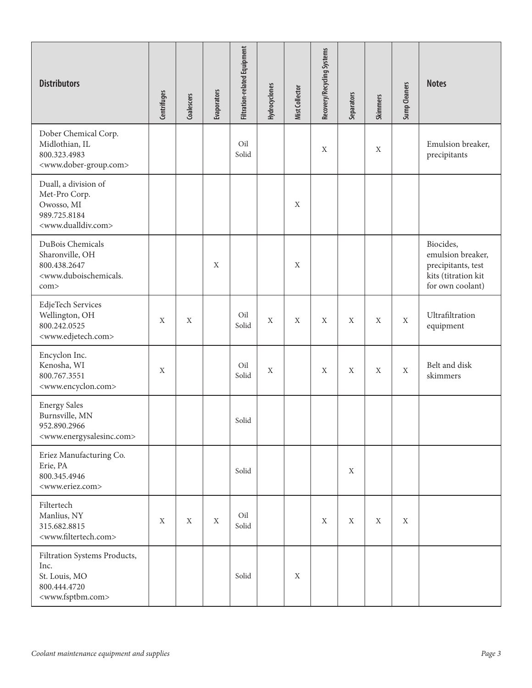| <b>Distributors</b>                                                                                               | Centrifuges | Coalescers | Evaporators | <b>Filtration-related Equipment</b> | Hydrocyclones | <b>Mist Collector</b> | Recovery/Recycling Systems | Separators | <b>Skimmers</b> | Sump Cleaners    | <b>Notes</b>                                                                                    |
|-------------------------------------------------------------------------------------------------------------------|-------------|------------|-------------|-------------------------------------|---------------|-----------------------|----------------------------|------------|-----------------|------------------|-------------------------------------------------------------------------------------------------|
| Dober Chemical Corp.<br>Midlothian, IL<br>800.323.4983<br><www.dober-group.com></www.dober-group.com>             |             |            |             | Oil<br>Solid                        |               |                       | $\mathbf X$                |            | X               |                  | Emulsion breaker,<br>precipitants                                                               |
| Duall, a division of<br>Met-Pro Corp.<br>Owosso, MI<br>989.725.8184<br><www.dualldiv.com></www.dualldiv.com>      |             |            |             |                                     |               | $\mathbf X$           |                            |            |                 |                  |                                                                                                 |
| DuBois Chemicals<br>Sharonville, OH<br>800.438.2647<br><www.duboischemicals.<br>com&gt;</www.duboischemicals.<br> |             |            | X           |                                     |               | $\mathbf X$           |                            |            |                 |                  | Biocides,<br>emulsion breaker,<br>precipitants, test<br>kits (titration kit<br>for own coolant) |
| EdjeTech Services<br>Wellington, OH<br>800.242.0525<br><www.edjetech.com></www.edjetech.com>                      | X           | X          |             | Oil<br>Solid                        | X             | X                     | X                          | X          | X               | $\mathbf{X}$     | Ultrafiltration<br>equipment                                                                    |
| Encyclon Inc.<br>Kenosha, WI<br>800.767.3551<br><www.encyclon.com></www.encyclon.com>                             | X           |            |             | Oil<br>Solid                        | X             |                       | $\mathbf X$                | X          | $\mathbf X$     | $\boldsymbol{X}$ | Belt and disk<br>skimmers                                                                       |
| <b>Energy Sales</b><br>Burnsville, MN<br>952.890.2966<br><www.energysalesinc.com></www.energysalesinc.com>        |             |            |             | Solid                               |               |                       |                            |            |                 |                  |                                                                                                 |
| Eriez Manufacturing Co.<br>Erie, PA<br>800.345.4946<br><www.eriez.com></www.eriez.com>                            |             |            |             | Solid                               |               |                       |                            | X          |                 |                  |                                                                                                 |
| Filtertech<br>Manlius, NY<br>315.682.8815<br><www.filtertech.com></www.filtertech.com>                            | X           | X          | X           | Oil<br>Solid                        |               |                       | $\mathbf X$                | X          | X               | X                |                                                                                                 |
| Filtration Systems Products,<br>Inc.<br>St. Louis, MO<br>800.444.4720<br><www.fsptbm.com></www.fsptbm.com>        |             |            |             | Solid                               |               | $\mathbf X$           |                            |            |                 |                  |                                                                                                 |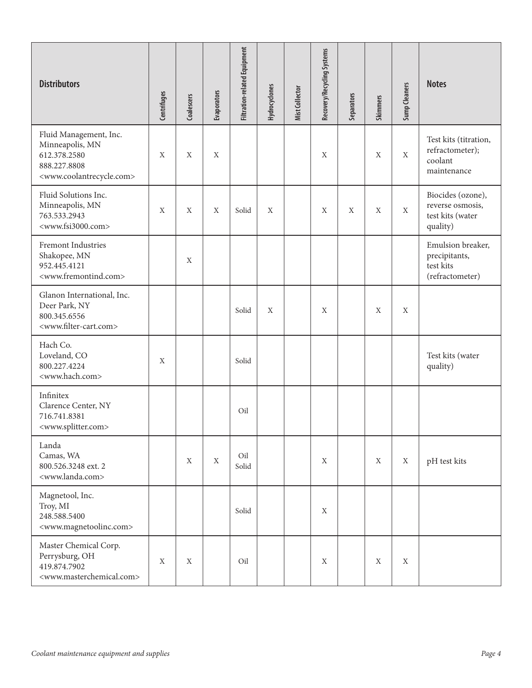| <b>Distributors</b>                                                                                                            | <b>Centrifuges</b> | Coalescers   | Evaporators | <b>Filtration-related Equipment</b> | Hydrocyclones | Mist Collector | Recovery/Recycling Systems | Separators | <b>Skimmers</b> | Sump Cleaners | <b>Notes</b>                                                          |
|--------------------------------------------------------------------------------------------------------------------------------|--------------------|--------------|-------------|-------------------------------------|---------------|----------------|----------------------------|------------|-----------------|---------------|-----------------------------------------------------------------------|
| Fluid Management, Inc.<br>Minneapolis, MN<br>612.378.2580<br>888.227.8808<br><www.coolantrecycle.com></www.coolantrecycle.com> | X                  | X            | X           |                                     |               |                | X                          |            | X               | X             | Test kits (titration,<br>refractometer);<br>coolant<br>maintenance    |
| Fluid Solutions Inc.<br>Minneapolis, MN<br>763.533.2943<br><www.fsi3000.com></www.fsi3000.com>                                 | X                  | X            | X           | Solid                               | X             |                | X                          | X          | X               | $\mathbf X$   | Biocides (ozone),<br>reverse osmosis,<br>test kits (water<br>quality) |
| Fremont Industries<br>Shakopee, MN<br>952.445.4121<br><www.fremontind.com></www.fremontind.com>                                |                    | X            |             |                                     |               |                |                            |            |                 |               | Emulsion breaker,<br>precipitants,<br>test kits<br>(refractometer)    |
| Glanon International, Inc.<br>Deer Park, NY<br>800.345.6556<br><www.filter-cart.com></www.filter-cart.com>                     |                    |              |             | Solid                               | X             |                | X                          |            | X               | X             |                                                                       |
| Hach Co.<br>Loveland, CO<br>800.227.4224<br><www.hach.com></www.hach.com>                                                      | X                  |              |             | Solid                               |               |                |                            |            |                 |               | Test kits (water<br>quality)                                          |
| Infinitex<br>Clarence Center, NY<br>716.741.8381<br><www.splitter.com></www.splitter.com>                                      |                    |              |             | Oil                                 |               |                |                            |            |                 |               |                                                                       |
| Landa<br>Camas, WA<br>800.526.3248 ext. 2<br><www.landa.com></www.landa.com>                                                   |                    | $\mathbf{X}$ | X           | Oil<br>Solid                        |               |                | X                          |            | X               | $\mathbf X$   | pH test kits                                                          |
| Magnetool, Inc.<br>Troy, MI<br>248.588.5400<br><www.magnetoolinc.com></www.magnetoolinc.com>                                   |                    |              |             | Solid                               |               |                | $\mathbf X$                |            |                 |               |                                                                       |
| Master Chemical Corp.<br>Perrysburg, OH<br>419.874.7902<br><www.masterchemical.com></www.masterchemical.com>                   | X                  | X            |             | Oil                                 |               |                | X                          |            | X               | X             |                                                                       |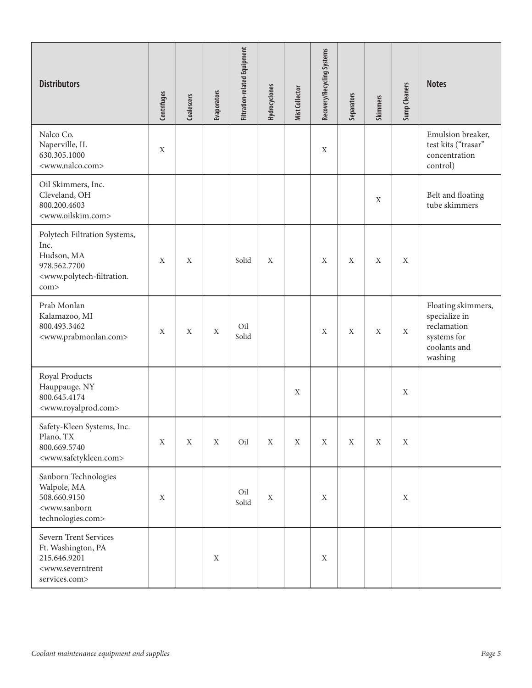| <b>Distributors</b>                                                                                                                      | Centrifuges | Coalescers | Evaporators | <b>Filtration-related Equipment</b> | Hydrocyclones | Mist Collector | Recovery/Recycling Systems | Separators | <b>Skimmers</b> | Sump Cleaners    | <b>Notes</b>                                                                                 |
|------------------------------------------------------------------------------------------------------------------------------------------|-------------|------------|-------------|-------------------------------------|---------------|----------------|----------------------------|------------|-----------------|------------------|----------------------------------------------------------------------------------------------|
| Nalco Co.<br>Naperville, IL<br>630.305.1000<br><www.nalco.com></www.nalco.com>                                                           | X           |            |             |                                     |               |                | $\mathbf X$                |            |                 |                  | Emulsion breaker,<br>test kits ("trasar"<br>concentration<br>control)                        |
| Oil Skimmers, Inc.<br>Cleveland, OH<br>800.200.4603<br><www.oilskim.com></www.oilskim.com>                                               |             |            |             |                                     |               |                |                            |            | X               |                  | Belt and floating<br>tube skimmers                                                           |
| Polytech Filtration Systems,<br>Inc.<br>Hudson, MA<br>978.562.7700<br><www.polytech-filtration.<br>com&gt;</www.polytech-filtration.<br> | $\mathbf X$ | X          |             | Solid                               | X             |                | $\mathbf X$                | X          | X               | X                |                                                                                              |
| Prab Monlan<br>Kalamazoo, MI<br>800.493.3462<br><www.prabmonlan.com></www.prabmonlan.com>                                                | X           | X          | X           | Oil<br>Solid                        |               |                | X                          | X          | X               | X                | Floating skimmers,<br>specialize in<br>reclamation<br>systems for<br>coolants and<br>washing |
| Royal Products<br>Hauppauge, NY<br>800.645.4174<br><www.royalprod.com></www.royalprod.com>                                               |             |            |             |                                     |               | $\mathbf X$    |                            |            |                 | $\mathbf X$      |                                                                                              |
| Safety-Kleen Systems, Inc.<br>Plano, TX<br>800.669.5740<br><www.safetykleen.com></www.safetykleen.com>                                   | $\mathbf X$ | X          | X           | Oil                                 | $\mathbf X$   | $\mathbf X$    | X                          | X          | $\mathbf X$     | $\mathbf X$      |                                                                                              |
| Sanborn Technologies<br>Walpole, MA<br>508.660.9150<br><www.sanborn<br>technologies.com&gt;</www.sanborn<br>                             | X           |            |             | Oil<br>Solid                        | X             |                | $\mathbf X$                |            |                 | $\boldsymbol{X}$ |                                                                                              |
| Severn Trent Services<br>Ft. Washington, PA<br>215.646.9201<br><www.severntrent<br>services.com&gt;</www.severntrent<br>                 |             |            | $\mathbf X$ |                                     |               |                | $\mathbf X$                |            |                 |                  |                                                                                              |